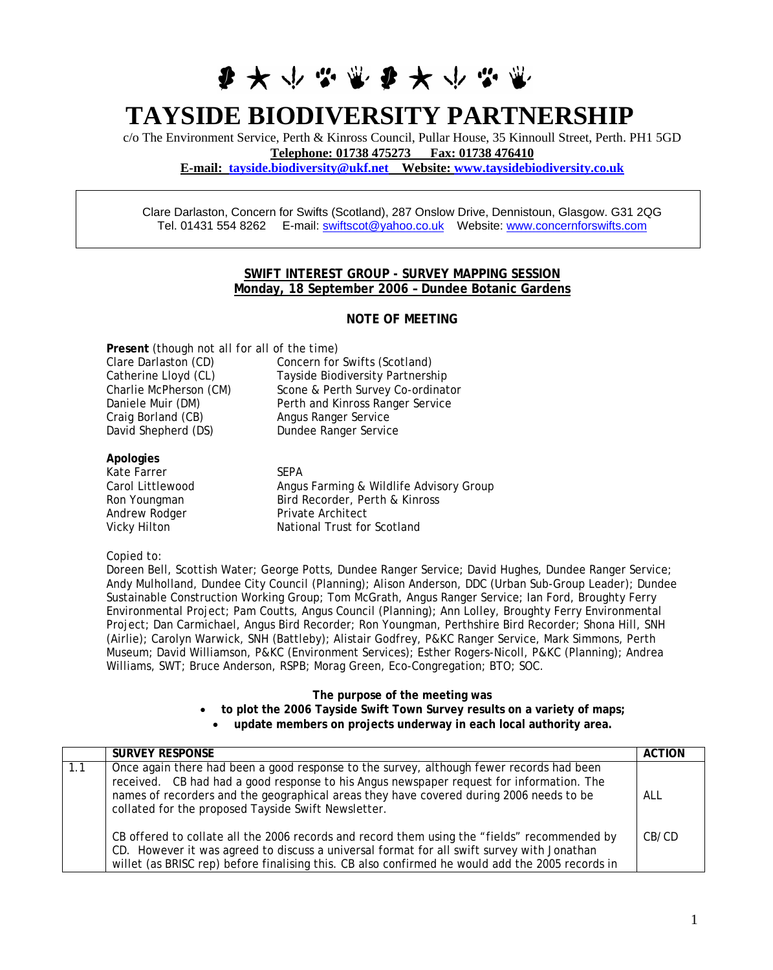# **ま 大 い ぶ 電 ま 大 い ぶ り**

# **TAYSIDE BIODIVERSITY PARTNERSHIP**

c/o The Environment Service, Perth & Kinross Council, Pullar House, 35 Kinnoull Street, Perth. PH1 5GD **Telephone: 01738 475273 Fax: 01738 476410 E-mail: [tayside.biodiversity@ukf.net](mailto:tayside.biodiversity@ukf.net) Website: [www.taysidebiodiversity.co.uk](http://www.taysidebiodiversity.co.uk/)**

Clare Darlaston, Concern for Swifts (Scotland), 287 Onslow Drive, Dennistoun, Glasgow. G31 2QG Tel. 01431 554 8262 E-mail: [swiftscot@yahoo.co.uk](mailto:swiftscot@yahoo.co.uk) Website: [www.concernforswifts.com](http://www.concernforswifts.com/) 

## **SWIFT INTEREST GROUP - SURVEY MAPPING SESSION Monday, 18 September 2006 – Dundee Botanic Gardens**

### **NOTE OF MEETING**

**Present** *(though not all for all of the time)* 

| Clare Darlaston (CD)   |
|------------------------|
| Catherine Lloyd (CL)   |
| Charlie McPherson (CM) |
| Daniele Muir (DM)      |
| Craig Borland (CB)     |
| David Shepherd (DS)    |

Concern for Swifts (Scotland) Tayside Biodiversity Partnership Scone & Perth Survey Co-ordinator Perth and Kinross Ranger Service Angus Ranger Service Dundee Ranger Service

**Apologies**  Kate Farrer SEPA Andrew Rodger Private Architect

Carol Littlewood **Angus Farming & Wildlife Advisory Group** Ron Youngman Bird Recorder, Perth & Kinross Vicky Hilton National Trust for Scotland

#### *Copied to:*

Doreen Bell, Scottish Water; George Potts, Dundee Ranger Service; David Hughes, Dundee Ranger Service; Andy Mulholland, Dundee City Council (Planning); Alison Anderson, DDC (Urban Sub-Group Leader); Dundee Sustainable Construction Working Group; Tom McGrath, Angus Ranger Service; Ian Ford, Broughty Ferry Environmental Project; Pam Coutts, Angus Council (Planning); Ann Lolley, Broughty Ferry Environmental Project; Dan Carmichael, Angus Bird Recorder; Ron Youngman, Perthshire Bird Recorder; Shona Hill, SNH (Airlie); Carolyn Warwick, SNH (Battleby); Alistair Godfrey, P&KC Ranger Service, Mark Simmons, Perth Museum; David Williamson, P&KC (Environment Services); Esther Rogers-Nicoll, P&KC (Planning); Andrea Williams, SWT; Bruce Anderson, RSPB; Morag Green, Eco-Congregation; BTO; SOC.

#### **The purpose of the meeting was**

- **to plot the 2006 Tayside Swift Town Survey results on a variety of maps;** 
	- **update members on projects underway in each local authority area.**

|     | <b>SURVEY RESPONSE</b>                                                                                                                                                                                                                                                                                                                 | <b>ACTION</b> |
|-----|----------------------------------------------------------------------------------------------------------------------------------------------------------------------------------------------------------------------------------------------------------------------------------------------------------------------------------------|---------------|
| 1.1 | Once again there had been a good response to the survey, although fewer records had been<br>received. CB had had a good response to his Angus newspaper request for information. The<br>names of recorders and the geographical areas they have covered during 2006 needs to be<br>collated for the proposed Tayside Swift Newsletter. | ALL           |
|     | CB offered to collate all the 2006 records and record them using the "fields" recommended by<br>CD. However it was agreed to discuss a universal format for all swift survey with Jonathan<br>willet (as BRISC rep) before finalising this. CB also confirmed he would add the 2005 records in                                         | CB/CD         |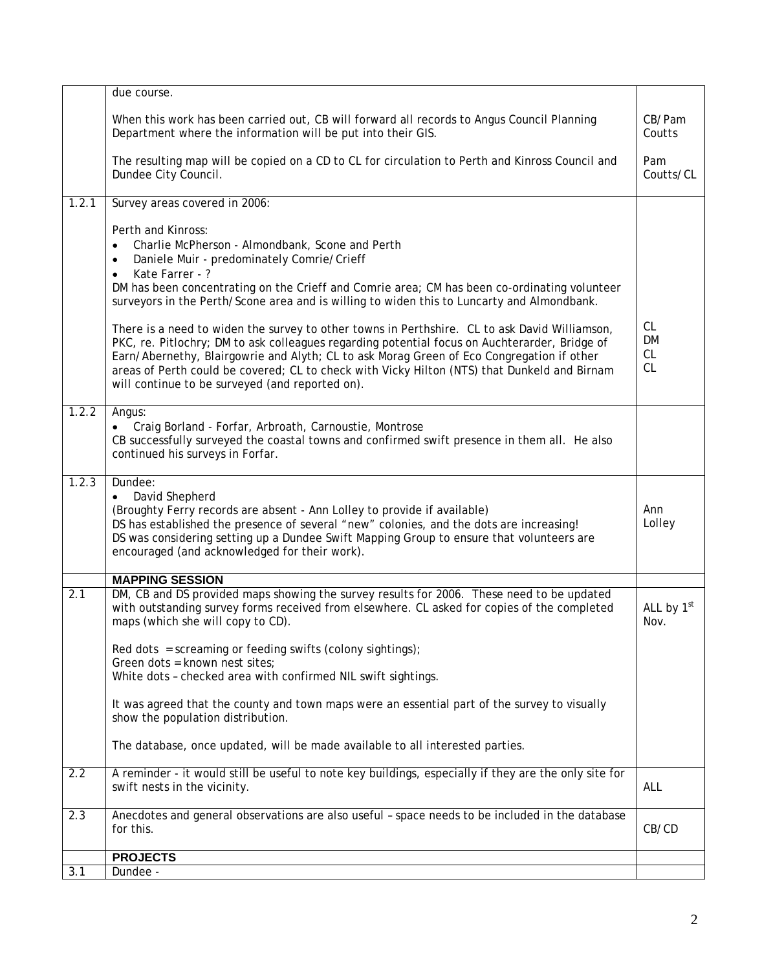|       | due course.                                                                                                                                                                                                                                                                                                                                                                                                                                    |                                    |
|-------|------------------------------------------------------------------------------------------------------------------------------------------------------------------------------------------------------------------------------------------------------------------------------------------------------------------------------------------------------------------------------------------------------------------------------------------------|------------------------------------|
|       | When this work has been carried out, CB will forward all records to Angus Council Planning<br>Department where the information will be put into their GIS.                                                                                                                                                                                                                                                                                     | CB/Pam<br>Coutts                   |
|       | The resulting map will be copied on a CD to CL for circulation to Perth and Kinross Council and<br>Dundee City Council.                                                                                                                                                                                                                                                                                                                        | Pam<br>Coutts/CL                   |
| 1.2.1 | Survey areas covered in 2006:                                                                                                                                                                                                                                                                                                                                                                                                                  |                                    |
|       | Perth and Kinross:<br>Charlie McPherson - Almondbank, Scone and Perth<br>$\bullet$<br>Daniele Muir - predominately Comrie/Crieff<br>$\bullet$<br>Kate Farrer - ?<br>$\bullet$<br>DM has been concentrating on the Crieff and Comrie area; CM has been co-ordinating volunteer<br>surveyors in the Perth/Scone area and is willing to widen this to Luncarty and Almondbank.                                                                    |                                    |
|       | There is a need to widen the survey to other towns in Perthshire. CL to ask David Williamson,<br>PKC, re. Pitlochry; DM to ask colleagues regarding potential focus on Auchterarder, Bridge of<br>Earn/Abernethy, Blairgowrie and Alyth; CL to ask Morag Green of Eco Congregation if other<br>areas of Perth could be covered; CL to check with Vicky Hilton (NTS) that Dunkeld and Birnam<br>will continue to be surveyed (and reported on). | <b>CL</b><br>DM<br><b>CL</b><br>CL |
| 1.2.2 | Angus:<br>Craig Borland - Forfar, Arbroath, Carnoustie, Montrose<br>CB successfully surveyed the coastal towns and confirmed swift presence in them all. He also<br>continued his surveys in Forfar.                                                                                                                                                                                                                                           |                                    |
| 1.2.3 | Dundee:<br>David Shepherd<br>$\bullet$<br>(Broughty Ferry records are absent - Ann Lolley to provide if available)<br>DS has established the presence of several "new" colonies, and the dots are increasing!<br>DS was considering setting up a Dundee Swift Mapping Group to ensure that volunteers are<br>encouraged (and acknowledged for their work).                                                                                     | Ann<br>Lolley                      |
|       | <b>MAPPING SESSION</b>                                                                                                                                                                                                                                                                                                                                                                                                                         |                                    |
| 2.1   | DM, CB and DS provided maps showing the survey results for 2006. These need to be updated<br>with outstanding survey forms received from elsewhere. CL asked for copies of the completed<br>maps (which she will copy to CD).                                                                                                                                                                                                                  | ALL by 1st<br>Nov.                 |
|       | Red dots = screaming or feeding swifts (colony sightings);<br>Green dots = known nest sites;<br>White dots - checked area with confirmed NIL swift sightings.                                                                                                                                                                                                                                                                                  |                                    |
|       |                                                                                                                                                                                                                                                                                                                                                                                                                                                |                                    |
|       | It was agreed that the county and town maps were an essential part of the survey to visually<br>show the population distribution.                                                                                                                                                                                                                                                                                                              |                                    |
|       | The database, once updated, will be made available to all interested parties.                                                                                                                                                                                                                                                                                                                                                                  |                                    |
| 2.2   | A reminder - it would still be useful to note key buildings, especially if they are the only site for<br>swift nests in the vicinity.                                                                                                                                                                                                                                                                                                          | ALL                                |
| 2.3   | Anecdotes and general observations are also useful - space needs to be included in the database<br>for this.                                                                                                                                                                                                                                                                                                                                   | CB/CD                              |
|       | <b>PROJECTS</b>                                                                                                                                                                                                                                                                                                                                                                                                                                |                                    |
| 3.1   | Dundee -                                                                                                                                                                                                                                                                                                                                                                                                                                       |                                    |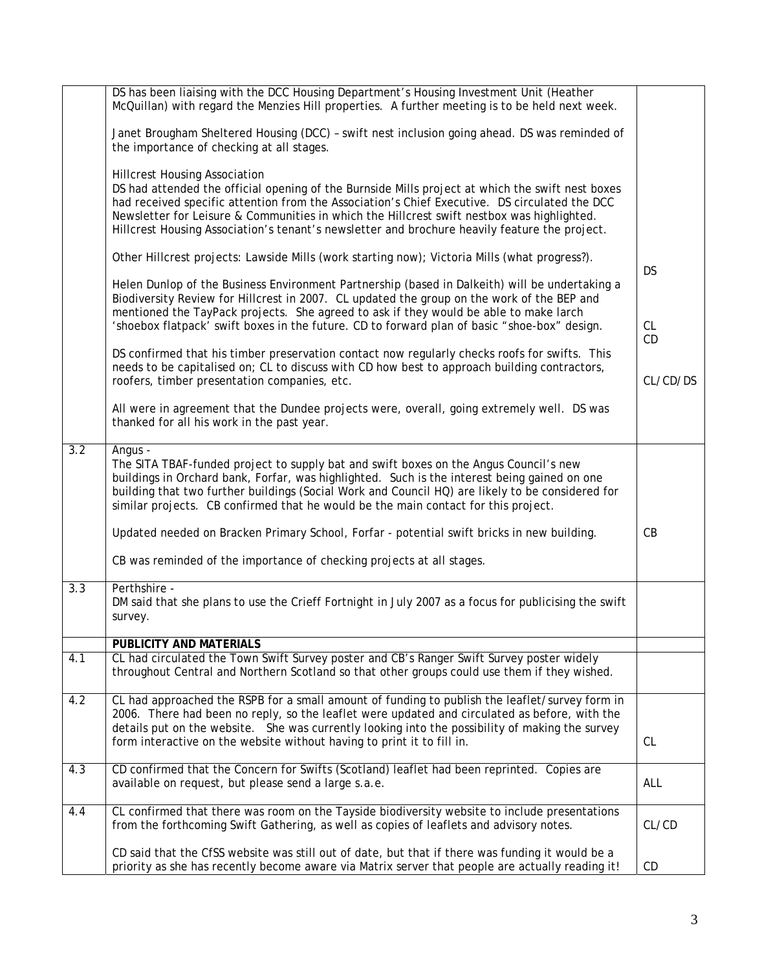|     | DS has been liaising with the DCC Housing Department's Housing Investment Unit (Heather<br>McQuillan) with regard the Menzies Hill properties. A further meeting is to be held next week.                                                                                                                                                                                                                                                |           |
|-----|------------------------------------------------------------------------------------------------------------------------------------------------------------------------------------------------------------------------------------------------------------------------------------------------------------------------------------------------------------------------------------------------------------------------------------------|-----------|
|     | Janet Brougham Sheltered Housing (DCC) - swift nest inclusion going ahead. DS was reminded of<br>the importance of checking at all stages.                                                                                                                                                                                                                                                                                               |           |
|     | <b>Hillcrest Housing Association</b><br>DS had attended the official opening of the Burnside Mills project at which the swift nest boxes<br>had received specific attention from the Association's Chief Executive. DS circulated the DCC<br>Newsletter for Leisure & Communities in which the Hillcrest swift nestbox was highlighted.<br>Hillcrest Housing Association's tenant's newsletter and brochure heavily feature the project. |           |
|     | Other Hillcrest projects: Lawside Mills (work starting now); Victoria Mills (what progress?).                                                                                                                                                                                                                                                                                                                                            | <b>DS</b> |
|     | Helen Dunlop of the Business Environment Partnership (based in Dalkeith) will be undertaking a<br>Biodiversity Review for Hillcrest in 2007. CL updated the group on the work of the BEP and<br>mentioned the TayPack projects. She agreed to ask if they would be able to make larch<br>'shoebox flatpack' swift boxes in the future. CD to forward plan of basic "shoe-box" design.                                                    | <b>CL</b> |
|     |                                                                                                                                                                                                                                                                                                                                                                                                                                          | CD        |
|     | DS confirmed that his timber preservation contact now regularly checks roofs for swifts. This<br>needs to be capitalised on; CL to discuss with CD how best to approach building contractors,<br>roofers, timber presentation companies, etc.                                                                                                                                                                                            | CL/CD/DS  |
|     | All were in agreement that the Dundee projects were, overall, going extremely well. DS was<br>thanked for all his work in the past year.                                                                                                                                                                                                                                                                                                 |           |
| 3.2 | Angus -<br>The SITA TBAF-funded project to supply bat and swift boxes on the Angus Council's new<br>buildings in Orchard bank, Forfar, was highlighted. Such is the interest being gained on one<br>building that two further buildings (Social Work and Council HQ) are likely to be considered for<br>similar projects. CB confirmed that he would be the main contact for this project.                                               |           |
|     | Updated needed on Bracken Primary School, Forfar - potential swift bricks in new building.                                                                                                                                                                                                                                                                                                                                               | CB        |
|     | CB was reminded of the importance of checking projects at all stages.                                                                                                                                                                                                                                                                                                                                                                    |           |
| 3.3 | Perthshire -<br>DM said that she plans to use the Crieff Fortnight in July 2007 as a focus for publicising the swift<br>survey.                                                                                                                                                                                                                                                                                                          |           |
|     | PUBLICITY AND MATERIALS                                                                                                                                                                                                                                                                                                                                                                                                                  |           |
| 4.1 | CL had circulated the Town Swift Survey poster and CB's Ranger Swift Survey poster widely<br>throughout Central and Northern Scotland so that other groups could use them if they wished.                                                                                                                                                                                                                                                |           |
| 4.2 | CL had approached the RSPB for a small amount of funding to publish the leaflet/survey form in<br>2006. There had been no reply, so the leaflet were updated and circulated as before, with the<br>details put on the website. She was currently looking into the possibility of making the survey                                                                                                                                       |           |
|     | form interactive on the website without having to print it to fill in.                                                                                                                                                                                                                                                                                                                                                                   | <b>CL</b> |
| 4.3 | CD confirmed that the Concern for Swifts (Scotland) leaflet had been reprinted. Copies are<br>available on request, but please send a large s.a.e.                                                                                                                                                                                                                                                                                       | ALL       |
| 4.4 | CL confirmed that there was room on the Tayside biodiversity website to include presentations<br>from the forthcoming Swift Gathering, as well as copies of leaflets and advisory notes.                                                                                                                                                                                                                                                 | CL/CD     |
|     | CD said that the CfSS website was still out of date, but that if there was funding it would be a<br>priority as she has recently become aware via Matrix server that people are actually reading it!                                                                                                                                                                                                                                     | CD        |